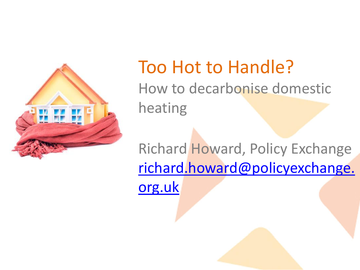

### Too Hot to Handle? How to decarbonise domestic heating

Richard Howard, Policy Exchange [richard.howard@policyexchange.](mailto:richard.howard@policyexchange.org.uk) [org.uk](mailto:richard.howard@policyexchange.org.uk)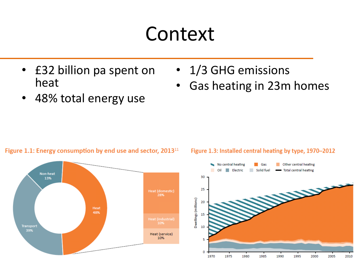## Context

- £32 billion pa spent on heat
- 48% total energy use

#### Figure 1.1: Energy consumption by end use and sector, 2013<sup>11</sup>



### Figure 1.3: Installed central heating by type, 1970-2012

• Gas heating in 23m homes

• 1/3 GHG emissions

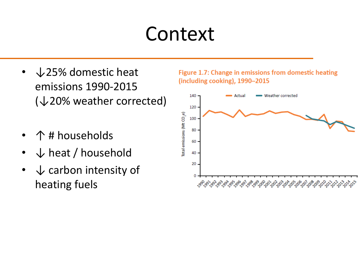## Context

- ↓25% domestic heat emissions 1990-2015 (↓20% weather corrected)
- ↑ # households
- $\downarrow$  heat / household
- $\downarrow$  carbon intensity of heating fuels

Figure 1.7: Change in emissions from domestic heating (including cooking), 1990-2015

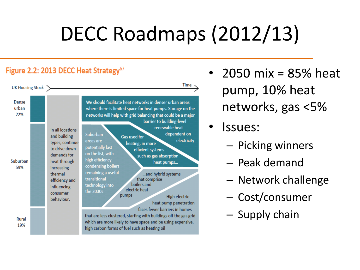# DECC Roadmaps (2012/13)

#### Figure 2.2: 2013 DECC Heat Strategy<sup>67</sup>



- 2050 mix = 85% heat pump, 10% heat networks, gas <5%
- Issues:
	- Picking winners
	- Peak demand
	- Network challenge
	- Cost/consumer
	- Supply chain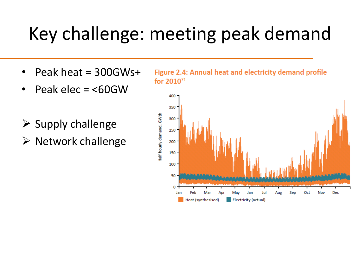## Key challenge: meeting peak demand

- Peak heat = 300GWs+
- Peak elec = <60GW
- $\triangleright$  Supply challenge
- $\triangleright$  Network challenge

Figure 2.4: Annual heat and electricity demand profile for  $2010^{71}$ 

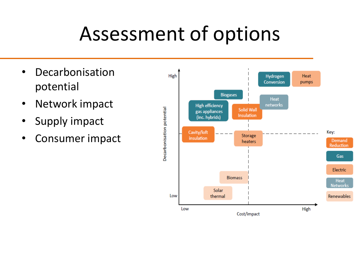## Assessment of options

- Decarbonisation potential
- Network impact
- Supply impact
- Consumer impact

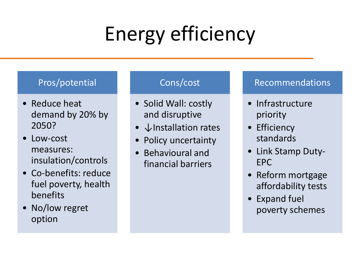# Energy efficiency

### Pros/potential

- Reduce heat demand by 20% by 2050?
- Low-cost measures: insulation/controls
- Co-benefits: reduce fuel poverty, health benefits
- No/low regret option

### Cons/cost

- Solid Wall: costly and disruptive
- ↓Installation rates
- Policy uncertainty
- Behavioural and financial barriers

- Infrastructure priority
- Efficiency standards
- Link Stamp Duty-EPC
- Reform mortgage affordability tests
- Expand fuel poverty schemes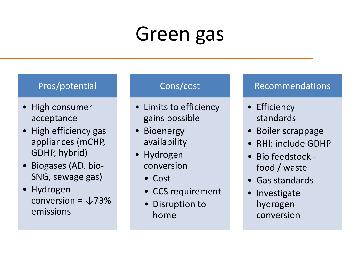## Green gas

#### Pros/potential

- High consumer acceptance
- High efficiency gas appliances (mCHP, GDHP, hybrid)
- Biogases (AD, bio-SNG, sewage gas)
- Hydrogen conversion =  $\sqrt{73\%}$ emissions

#### Cons/cost

- Limits to efficiency gains possible
- Bioenergy availability
- Hydrogen conversion
	- Cost
	- CCS requirement
	- Disruption to home

- Efficiency standards
- Boiler scrappage
- RHI: include GDHP
- Bio feedstock food / waste
- Gas standards
- Investigate hydrogen conversion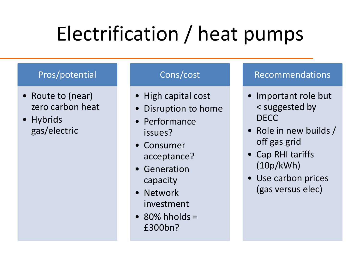# Electrification / heat pumps

#### Pros/potential

- Route to (near) zero carbon heat
- Hybrids gas/electric

#### Cons/cost

- High capital cost
- Disruption to home
- Performance issues?
- Consumer acceptance?
- Generation capacity
- Network investment
- $\cdot$  80% hholds = £300bn?

- Important role but < suggested by DECC
- Role in new builds / off gas grid
- Cap RHI tariffs (10p/kWh)
- Use carbon prices (gas versus elec)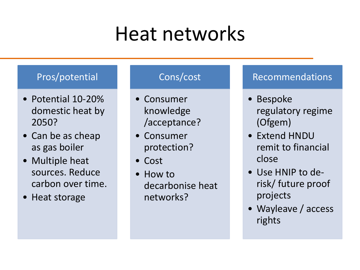## Heat networks

#### Pros/potential

- Potential 10-20% domestic heat by 2050?
- Can be as cheap as gas boiler
- Multiple heat sources. Reduce carbon over time.
- Heat storage

#### Cons/cost

- Consumer knowledge /acceptance?
- Consumer protection?
- Cost
- How to decarbonise heat networks?

- Bespoke regulatory regime (Ofgem)
- Extend HNDU remit to financial close
- Use HNIP to derisk/ future proof projects
- Wayleave / access rights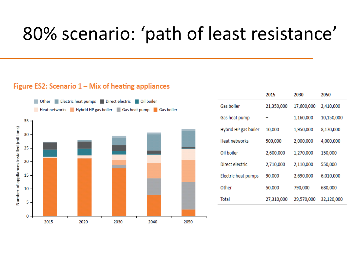### 80% scenario: 'path of least resistance'

#### Figure ES2: Scenario 1 – Mix of heating appliances



|                      | 2015       | 2030       | 2050       |
|----------------------|------------|------------|------------|
| Gas boiler           | 21,350,000 | 17,600,000 | 2,410,000  |
| Gas heat pump        |            | 1,160,000  | 10,150,000 |
| Hybrid HP gas boiler | 10,000     | 1,950,000  | 8,170,000  |
| Heat networks        | 500,000    | 2,000,000  | 4,000,000  |
| Oil boiler           | 2,600,000  | 1,270,000  | 150,000    |
| Direct electric      | 2,710,000  | 2,110,000  | 550,000    |
| Electric heat pumps  | 90,000     | 2,690,000  | 6,010,000  |
| Other                | 50,000     | 790,000    | 680,000    |
| Total                | 27,310,000 | 29,570,000 | 32,120,000 |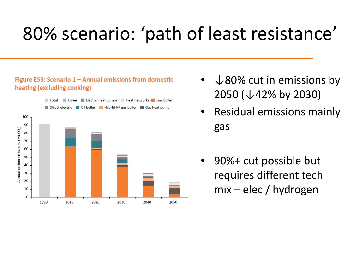### 80% scenario: 'path of least resistance'

#### Figure ES3: Scenario 1 - Annual emissions from domestic heating (excluding cooking)



- $\sqrt{80\%}$  cut in emissions by 2050 (↓42% by 2030)
- Residual emissions mainly gas
- 90%+ cut possible but requires different tech mix – elec / hydrogen